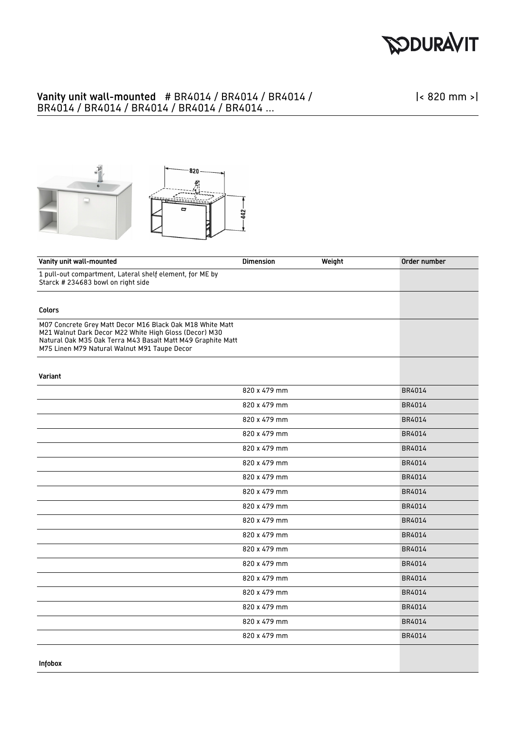

## Vanity unit wall-mounted # BR4014 / BR4014 / BR4014 / BR4014 / BR4014 / BR4014 / BR4014 / BR4014 ...

|< 820 mm >|



| Vanity unit wall-mounted                                                                                                                                                                                                           | <b>Dimension</b> | Weight | Order number |
|------------------------------------------------------------------------------------------------------------------------------------------------------------------------------------------------------------------------------------|------------------|--------|--------------|
| 1 pull-out compartment, Lateral shelf element, for ME by<br>Starck # 234683 bowl on right side                                                                                                                                     |                  |        |              |
|                                                                                                                                                                                                                                    |                  |        |              |
| Colors                                                                                                                                                                                                                             |                  |        |              |
| M07 Concrete Grey Matt Decor M16 Black Oak M18 White Matt<br>M21 Walnut Dark Decor M22 White High Gloss (Decor) M30<br>Natural Oak M35 Oak Terra M43 Basalt Matt M49 Graphite Matt<br>M75 Linen M79 Natural Walnut M91 Taupe Decor |                  |        |              |
| Variant                                                                                                                                                                                                                            |                  |        |              |
|                                                                                                                                                                                                                                    | 820 x 479 mm     |        | BR4014       |
|                                                                                                                                                                                                                                    | 820 x 479 mm     |        | BR4014       |
|                                                                                                                                                                                                                                    | 820 x 479 mm     |        | BR4014       |
|                                                                                                                                                                                                                                    | 820 x 479 mm     |        | BR4014       |
|                                                                                                                                                                                                                                    | 820 x 479 mm     |        | BR4014       |
|                                                                                                                                                                                                                                    | 820 x 479 mm     |        | BR4014       |
|                                                                                                                                                                                                                                    | 820 x 479 mm     |        | BR4014       |
|                                                                                                                                                                                                                                    | 820 x 479 mm     |        | BR4014       |
|                                                                                                                                                                                                                                    | 820 x 479 mm     |        | BR4014       |
|                                                                                                                                                                                                                                    | 820 x 479 mm     |        | BR4014       |
|                                                                                                                                                                                                                                    | 820 x 479 mm     |        | BR4014       |
|                                                                                                                                                                                                                                    | 820 x 479 mm     |        | BR4014       |
|                                                                                                                                                                                                                                    | 820 x 479 mm     |        | BR4014       |
|                                                                                                                                                                                                                                    | 820 x 479 mm     |        | BR4014       |
|                                                                                                                                                                                                                                    | 820 x 479 mm     |        | BR4014       |
|                                                                                                                                                                                                                                    | 820 x 479 mm     |        | BR4014       |
|                                                                                                                                                                                                                                    | 820 x 479 mm     |        | BR4014       |
|                                                                                                                                                                                                                                    | 820 x 479 mm     |        | BR4014       |
| <b>Infobox</b>                                                                                                                                                                                                                     |                  |        |              |